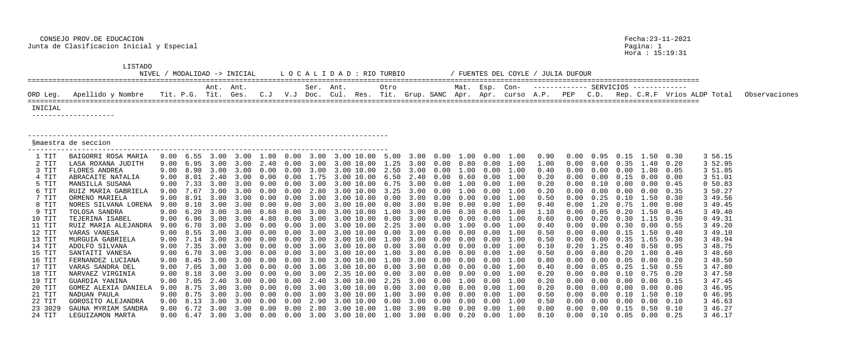CONSEJO PROV.DE EDUCACION Fecha:23-11-2021 Junta de Clasificacion Inicial y Especial Pagina: 1

|                  | LISTADO<br>NIVEL<br>LOCALIDAD : RIO TURBIO<br>MODALIDAD -> INICIAL |      |                     |                     |                     |      |                 |             |                                                                                                                                                            |               |      |      |               |                |      | / FUENTES DEL COYLE / JULIA DUFOUR |              |      |                   |                                |              |                             |               |
|------------------|--------------------------------------------------------------------|------|---------------------|---------------------|---------------------|------|-----------------|-------------|------------------------------------------------------------------------------------------------------------------------------------------------------------|---------------|------|------|---------------|----------------|------|------------------------------------|--------------|------|-------------------|--------------------------------|--------------|-----------------------------|---------------|
|                  |                                                                    |      |                     | Ant. Ant.           |                     |      |                 | Ser. Ant.   |                                                                                                                                                            | Otro          |      |      |               | Mat. Esp. Con- |      |                                    |              |      |                   |                                |              |                             |               |
| ORD Leg.         | Apellido y Nombre                                                  |      | Tit. P.G. Tit. Ges. |                     |                     | C. J | $V\centerdot J$ | Doc.        | Cul. Res. Tit. Grup. SANC Apr. Apr. curso A.P.                                                                                                             |               |      |      |               |                |      |                                    | PEP          | C.D. |                   |                                |              | Rep. C.R.F Vrios ALDP Total | Observaciones |
| INICIAL          | ____________________                                               |      |                     |                     |                     |      |                 |             |                                                                                                                                                            |               |      |      |               |                |      |                                    |              |      |                   |                                |              |                             |               |
|                  | Smaestra de seccion                                                |      |                     |                     |                     |      |                 |             |                                                                                                                                                            |               |      |      |               |                |      |                                    |              |      |                   |                                |              |                             |               |
| 1 TIT            | BAIGORRI ROSA MARIA                                                | 9.00 | 6.55                | $\sim$ 3 $\sim$ 0.0 |                     | 1.80 | $.00 \,$        | 3.00        | 3.00 10.00                                                                                                                                                 |               | 3.00 |      | $0.00$ $1.00$ | 0.00           | 1.00 | 0.90                               |              | 0.95 |                   | .50                            | 0.30         | 3 56.15                     |               |
| 2 TIT            | LASA ROXANA JUDITH                                                 |      |                     |                     |                     |      |                 |             |                                                                                                                                                            |               |      |      |               |                |      | 1.00                               |              |      |                   | 4()                            | 0.20         | 3 52.95                     |               |
| 3 TIT            | FLORES ANDREA                                                      | 9.00 | 8.90                | $\prec$ ()()        | 3.00                |      | (1)             |             | 3.00<br>10.00                                                                                                                                              | 2.50          | 3.00 | 0.00 | 0.00          | (1.00)         | 1.00 | 0.40                               |              |      |                   | .00.                           | 0.05         | 3 51.85                     |               |
| 4 TIT            | ABRACAITE NATALIA                                                  | 9.00 |                     | 2.40                |                     |      |                 |             | $-10.00$                                                                                                                                                   | 6.50          |      |      | 0.60          |                |      | 0.20                               |              | 0.00 | 0.15              |                                | 0.00         | 3 51.01                     |               |
| 5 TIT            | MANSILLA SUSANA                                                    |      |                     |                     |                     |      |                 |             |                                                                                                                                                            |               |      |      |               |                |      | $0\,\ldotp 20$                     |              |      |                   |                                | 0.45         | 0 50.83                     |               |
| 6 TIT            | RUIZ MARIA GABRIELA                                                | 9.00 |                     |                     |                     |      |                 |             |                                                                                                                                                            |               |      |      |               |                |      | 0.20                               |              |      |                   | 0.00                           | 0.35         | 3 50.27                     |               |
| 7 TIT            | ORMENO MARIELA                                                     |      | 8.91                |                     |                     |      |                 |             | $(1)$ , $(1)$                                                                                                                                              | $(1 \cdot 0)$ |      |      |               |                |      | 0.50                               |              | . 25 |                   | .50                            | 0.30         | 3 49.56                     |               |
| 8 TIT            | NORES SILVANA LORENA                                               | 9.00 |                     |                     |                     |      |                 |             |                                                                                                                                                            |               |      |      |               |                |      | 0.40                               |              |      |                   |                                | 0.00         | 3 49.45                     |               |
| 9 TIT            | TOLOSA SANDRA                                                      | 9.00 |                     |                     |                     |      |                 |             |                                                                                                                                                            |               |      |      |               |                |      | 1.10                               |              |      |                   | .50 <sub>1</sub>               | 0.45         | 3 49.40                     |               |
| 10 TIT           | TEJERINA ISABEL                                                    |      |                     |                     |                     |      |                 |             | $(1)$ $(1)$                                                                                                                                                |               |      |      |               |                |      | 0.60                               |              |      |                   | $\sqrt{2}$                     | 0.30         | 049.31                      |               |
| 11 TIT           | RUIZ MARIA ALEJANDRA                                               |      |                     |                     |                     |      |                 |             |                                                                                                                                                            |               |      |      |               |                |      | 0.40                               |              |      |                   |                                | 0.55         | 3 49.20                     |               |
| 12 TIT           | VARAS VANESA                                                       | 9.00 | 8.55                |                     |                     |      |                 |             | $\Box$ $\Box$ $\Box$ $\Box$ $\Box$ $\Box$                                                                                                                  |               |      |      |               |                | 1.00 | 0.50                               |              |      | (1.15)            | . 50                           | 0.40         | 3 49.10                     |               |
| 13 TIT           | MURGUIA GABRIELA                                                   | 9.00 |                     |                     |                     |      |                 |             |                                                                                                                                                            |               |      |      |               |                |      | 0.50                               |              |      |                   | .65                            | 0.30         | 3 48.94                     |               |
| 14 TIT           | ADOLFO SILVANA                                                     | 9.00 | 7.35                |                     |                     |      |                 |             | 10.00                                                                                                                                                      |               |      |      |               |                |      | 0.10                               |              | . 25 |                   | 0.50                           | 0.95         | 3 48.75                     |               |
| 15 TIT           | SANTAITI VANESA                                                    | 9.00 | 6.70                | 3.00                | 3.00                | 0.00 | 0.00            | 3.00        | 3.00 10.00                                                                                                                                                 | 1.00          | 3.00 | 0.00 | 0.00          | 0.00           | 1.00 | 0.50                               | 0.00         | 0.80 | 0.20              | 1.00                           | 0.40         | 3 48.60                     |               |
| 16 TIT           | FERNANDEZ LUCIANA                                                  |      |                     |                     |                     |      |                 |             |                                                                                                                                                            |               |      |      |               |                |      | 0.80                               | 0.00         |      |                   | $0.00 \t 0.05 \t 0.00 \t 0.20$ |              | 3 48.50                     |               |
| 17 TIT           | VARAS SANDRA DEL                                                   | 9.00 |                     |                     | 7.05 3.00 3.00 0.00 |      |                 | $0.00$ 3.00 | 3.00 10.00  0.00  3.00  0.00  0.00  0.00  1.00                                                                                                             |               |      |      |               |                |      | 0.40                               | 0.00         | 0.05 | 0.25              | 1.50<br>$0.80$ $0.10$ $0.75$   | 0.55<br>0.20 | 3 47.80                     |               |
| 18 TIT           | NARVAEZ VIRGINIA                                                   |      |                     |                     |                     |      |                 |             | 9.00 8.18 3.00 3.00 0.00 0.00 3.00 2.35 10.00 0.00 3.00 0.00 0.00 0.00 1.00<br>9.00 7.05 2.40 3.00 0.00 0.00 2.40 3.00 10.00 2.25 3.00 0.00 1.00 0.00 1.00 |               |      |      |               |                |      | 0.20                               | 0.00         |      |                   | $0.00 \t 0.00 \t 0.00 \t 0.15$ |              | 3 47.58                     |               |
| 19 TIT<br>20 TIT | GUARDIA YANINA<br>GOMEZ ALEXIA DANIELA                             | 9.00 |                     |                     |                     |      |                 |             |                                                                                                                                                            |               |      |      |               |                | 1.00 | 0.20<br>0.20                       | 0.00<br>0.00 |      |                   | $0.00 \t 0.00 \t 0.00 \t 0.00$ |              | 3 47.45<br>3 46.95          |               |
| 21 TIT           | NADUAN PAULA                                                       |      |                     |                     |                     |      |                 |             |                                                                                                                                                            |               |      |      |               |                |      | 0.50                               | 0.00         |      |                   | $0.00$ $0.10$ $1.50$           | 0.10         | 046.95                      |               |
| 22 TIT           | GOROSITO ALEJANDRA                                                 |      |                     |                     |                     |      |                 |             | 9.00 8.13 3.00 3.00 0.00 0.00 2.90 3.00 10.00 0.00 3.00 0.00 0.00 0.00 1.00                                                                                |               |      |      |               |                |      | 0.50                               | 0.00         |      |                   | $0.00 \t 0.00 \t 0.00 \t 0.10$ |              | 3 46.63                     |               |
| 23 3029          | GAUNA MYRIAM SANDRA                                                |      |                     |                     |                     |      |                 |             | 9.00 6.72 3.00 3.00 0.00 0.00 2.80 3.00 10.00 1.00 3.00 0.00 0.00 0.00 1.00                                                                                |               |      |      |               |                |      | 0.00                               | 0.00         |      | $0.00 \quad 0.15$ | $0.50 \quad 0.10$              |              | 3 46.27                     |               |
| 24 TIT           | LEGUIZAMON MARTA                                                   |      |                     |                     |                     |      |                 |             |                                                                                                                                                            |               |      |      |               |                |      | 0.10                               | 0.00         |      |                   | $0.10$ $0.05$ $0.00$ $0.25$    |              | 3 46.17                     |               |

Pagina: 1<br>Hora : 15:19:31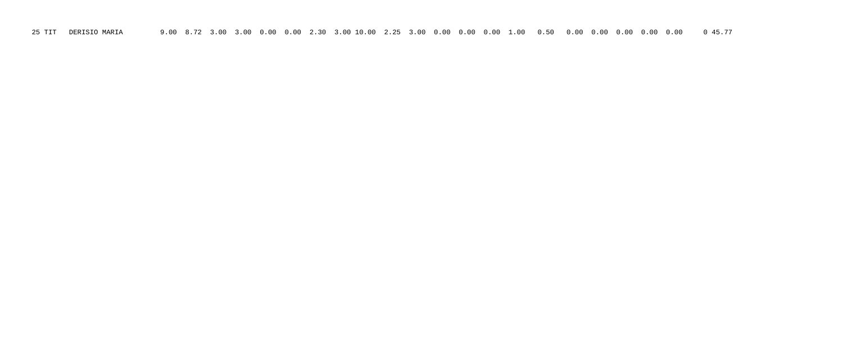25 TIT DERISIO MARIA 9.00 8.72 3.00 3.00 0.00 0.00 2.30 3.00 10.00 2.25 3.00 0.00 0.00 0.00 1.00 0.50 0.00 0.00 0.00 0.00 0.00 0 45.77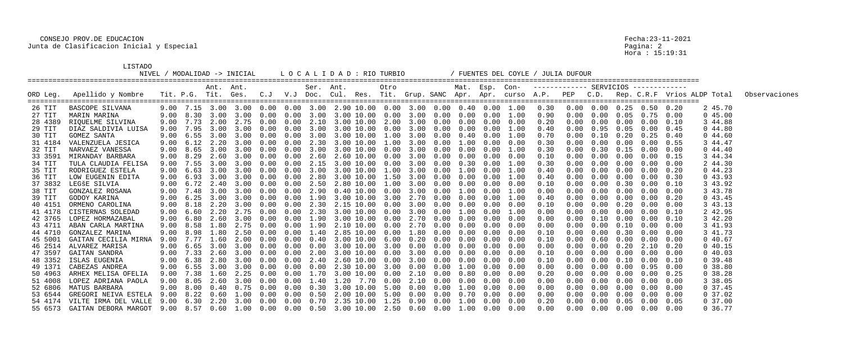# CONSEJO PROV.DE EDUCACION Fecha:23-11-2021 Junta de Clasificacion Inicial y Especial

LISTADO<br>NIVEL / MODALIDAD -> INICIAL

|          |                                                                                                          |      |      | Ant. Ant.            |                                                                               |               |            | Ser. Ant. |                 | Otro |      |                  |             | Mat. Esp. Con-             |                   |            |            |      |                   |                                    |      |                                                                                            |               |
|----------|----------------------------------------------------------------------------------------------------------|------|------|----------------------|-------------------------------------------------------------------------------|---------------|------------|-----------|-----------------|------|------|------------------|-------------|----------------------------|-------------------|------------|------------|------|-------------------|------------------------------------|------|--------------------------------------------------------------------------------------------|---------------|
| ORD Leg. | Apellido y Nombre                                                                                        |      |      | Tit. P.G. Tit. Ges.  |                                                                               | C. J          |            |           |                 |      |      |                  |             |                            |                   |            |            |      |                   |                                    |      | V.J Doc. Cul. Res. Tit. Grup.SANC Apr. Apr. curso A.P. PEP C.D. Rep.C.R.F Vrios ALDP Total | Observaciones |
| 26 TIT   | BASCOPE SILVANA                                                                                          |      |      | $9.00$ $7.15$ $3.00$ | $3.00$ 0.00 0.00 3.00 2.90 10.00 0.00 3.00 0.00 0.40 0.00 1.00                |               |            |           |                 |      |      |                  |             |                            |                   | 0.30       | 0.00       |      | $0.00 \quad 0.25$ | 0.50                               | 0.20 | 2 45.70                                                                                    |               |
| 27 TIT   | MARIN MARINA                                                                                             | 9.00 | 8.30 | 3.00                 | 3.00                                                                          | 0.00          | 0.00       | 3.00      | 3.00 10.00 0.00 |      |      | 3.00 0.00        | 0.00        |                            | $0.00 \quad 1.00$ | 0.90       | 0.00       | 0.00 | 0.05              | 0.75                               | 0.00 | 045.00                                                                                     |               |
| 28 4389  | RIQUELME SILVINA                                                                                         | 9.00 |      |                      | 7.73 2.00 2.75                                                                | 0.00          | 0.00       | 2.10      | 3.00 10.00 2.00 |      |      |                  |             | $3.00$ 0.00 0.00 0.00 0.00 |                   | 0.20       | 0.00       | 0.00 | 0.00              | 0.00                               | 0.10 | 3 44.88                                                                                    |               |
| 29 TIT   | DIAZ SALDIVIA LUISA                                                                                      | 9.00 | 7.95 | 3.00                 | 3.00                                                                          | (1.00)        | 0.00       | 3.00      | 3.00 10.00 0.00 |      |      | 3.00 0.00        | 0.00        | 0.00                       | 1.00              | 0.40       | 0.00       | 0.95 | 0.05              | 0.00                               | 0.45 | 044.80                                                                                     |               |
| 30 TIT   | GOMEZ SANTA                                                                                              | 9.00 | 6.55 | 3.00                 | 3.00                                                                          | 0.00          | 0.00       | 3.00      | 3.00 10.00      | 1.00 | 3.00 | $0\,.\,00$       | 0.40        | $0\,.\,00$                 | 1.00              | 0.70       |            | 0.10 | 0.20              | 0.25                               | 0.40 | 0.44.60                                                                                    |               |
| 31 4184  | VALENZUELA JESICA                                                                                        | 9.00 | 6.12 | 2.20                 | 3.00                                                                          |               | 0.00       | 2.30      | 3.00 10.00 1.00 |      | 3.00 | 0.00             | 1.00        | 0.00                       | 0.00              | 0.30       |            | 0.00 | 0.00              | 0.00                               | 0.55 | 3 44.47                                                                                    |               |
| 32 TIT   | NARVAEZ VANESSA                                                                                          | 9.00 | 8.65 | 3.00                 | 3.00                                                                          |               | 0.00       | 3.00      | 3.00 10.00 0.00 |      | 3.00 | 0.00             | 0.00        | 0.00                       | 1.00              | 0.30       | 0.00       | 0.30 | 0.15              | 0.00                               | 0.00 | 044.40                                                                                     |               |
| 33 3591  | MIRANDAY BARBARA                                                                                         | 9.00 | 8.29 | 2.60                 | 3.00                                                                          | 0.00          | 0.00       | 2.60      | 2.60 10.00      | 0.00 | 3.00 | 0.00             | 0.00        | 0.00                       | 0.00              | 0.10       |            | 0.00 | 0.00              | 0.00                               | 0.15 | 3 44.34                                                                                    |               |
| 34 TIT   | TULA CLAUDIA FELISA                                                                                      | 9.00 | 7.55 | 3.00                 | 3.00                                                                          | 0.00          | 0.00       | 2.15      | 3.00 10.00 0.00 |      | 3.00 | 0.00             | 0.30        | 0.00                       | 1.00              | 0.30       |            | 0.00 | 0.00              | 0.00                               | 0.00 | 2 44.30                                                                                    |               |
| 35 TIT   | RODRIGUEZ ESTELA                                                                                         | 9.00 | 6.63 |                      |                                                                               |               | 0.00       | 3.00      | 3.00 10.00      | 1.00 | 3.00 | 0.00             | 1.00        | 0.00                       | 1.00              | 0.40       | 0.00       | 0.00 | (0.00)            | 0.00                               | 0.20 | 044.23                                                                                     |               |
| 36 TIT   | LOW EUGENIN EDITA                                                                                        | 9.00 | 6.93 | 3.00                 | 3.00                                                                          | 0.00          | 0.00       | 2.80      | 3.00 10.00      | 1.50 | 3.00 | 0.00             | 0.00        | 0.00                       | $1\,.\,00$        | 0.40       |            | 0.00 | 0.00              | 0.00                               | 0.30 | 043.93                                                                                     |               |
| 37 3832  | LEGŠE SILVIA                                                                                             | 9.00 |      | 6.72 2.40            | 3.00                                                                          | 0.00          | 0.00       | 2.50      | 2.80 10.00 1.00 |      | 3.00 | 0.00             | 0.00        | 0.00                       | 0.00              | 0.10       |            | 0.00 | 0.30              | 0.00                               | 0.10 | 3 43.92                                                                                    |               |
| 38 TIT   | GONZALEZ ROSANA                                                                                          | 9.00 | 7.48 | 3.00                 |                                                                               |               | (0.00)     | 2.90      | $0.40\;10.00$   | 0.00 | 3.00 | 0.00             | 1.00        | 0.00                       | 1.00              | 0.00       |            | 0.00 | $(1 \cdot 0)$     | 0.00                               | 0.00 | 3 43.78                                                                                    |               |
| 39 TIT   | GODOY KARINA                                                                                             | 9.00 | 6.25 | 3.00                 | 3.00                                                                          |               | 0.00       | 1.90      | 3.00 10.00      | 3.00 | 2.70 | 0.00             | 0.00        | 0.00                       | $1\,.\,00$        | 0.40       |            | 0.00 | 0.00              | 0.00                               | 0.20 | 043.45                                                                                     |               |
| 40 4151  | ORMENO CAROLINA                                                                                          | 9.00 | 8.18 | 2.20                 | 3.00                                                                          |               | 0.00       | 2.30      | 2.15 10.00 0.00 |      | 3.00 | 0.00             | 0.00        | 0.00                       | 0.00              | 0.10       |            | 0.00 | 0.20              | 0.00                               | 0.00 | 3 43.13                                                                                    |               |
| 41 4178  | CISTERNAS SOLEDAD                                                                                        | 9.00 | 6.60 | 2.20                 | 2.75                                                                          | (1.00)        | 0.00       | 2.30      | 3.00 10.00      | 0.00 | 3.00 | 0.00             | 1.00        | 0.00                       | 1.00              | 0.00       | 0.00       | 0.00 | (0.00)            | 0.00                               | 0.10 | 2 42.95                                                                                    |               |
| 42 3765  | LOPEZ HORMAZABAL                                                                                         | 9.00 | 6.80 | 2.60                 | 3.00                                                                          |               | 0.00       | 1.90      | 3.00 10.00      | 0.00 | 2.70 | 0.00             | 0.00        | 0.00                       | 0.00              | 0.00       |            |      | 0.00              | 0.00                               | 0.10 | 3 42.20                                                                                    |               |
| 43 4711  | ABAN CARLA MARTINA                                                                                       | 9.00 | 8.58 | 1.80                 |                                                                               |               | 0.00       | 1.90      | 2.10 10.00      | 0.00 | 2.70 | 0.00             | 0.00        | 0.00                       | 0.00              | 0.00       |            |      | 0.10              | 0.00                               | 0.00 | 3 41.93                                                                                    |               |
| 44 4710  | GONZALEZ MARINA                                                                                          | 9.00 | 8.98 | .80                  | 2.50                                                                          | $(1 \cdot 0)$ | 0.00       | .40       | 2.85 10.00      | 0.00 | 1.80 | 0.00             | 0.00        | 0.00                       | 0.00              | 0.10       | 0.00       | 0.00 | 0.30              | 0.00                               | 0.00 | 3 41.73                                                                                    |               |
| 45 5001  | GAITAN CECILIA MIRNA                                                                                     | 9.00 |      | 1.60                 | 2.00                                                                          | 0.00          | 0.00       | 0.40      | 3.00 10.00 6.00 |      | 0.20 | 0.00             | 0.00        | 0.00                       | 0.00              | 0.10       |            | 0.60 | 0.00              | 0.00                               | 0.00 | 040.67                                                                                     |               |
| 46 2514  | ALVAREZ MARISA                                                                                           | 9.00 | 6.65 | 3.00                 | 3.00                                                                          |               | 0.00       |           | 3.00 10.00      | 3.00 | 0.00 | 0.00             | 0.00        | 0.00                       | 0.00              | 0.00       |            |      | 0.20              | 2.10                               | 0.20 | 040.15                                                                                     |               |
| 47 3597  | GAITAN SANDRA                                                                                            | 9.00 | 7.33 | 2.60                 | 3.00                                                                          |               | (0.00)     | 2.00      | 3.00 10.00      | 0.00 | 3.00 | 0.00             | 0.00        | 0.00                       | 0.00              | 0.10       |            | 0.00 | (0.00)            | 0.00                               | 0.00 | 040.03                                                                                     |               |
| 48 3352  | ISLAS EUGENIA                                                                                            | 9.00 | 6.38 | 2.80                 | 3.00                                                                          | 0.00          | 0.00       | 2.40      | 2.60 10.00      | 0.00 | 3.00 | $0\,.\,00$       | 0.00        | $0\,.\,00$                 | 0.00              | 0.10       |            | 0.00 | 0.10              | 0.00                               | 0.10 | 0.39.48                                                                                    |               |
|          | 49 1371 CABEZAS ANDREA                                                                                   | 9.00 |      |                      | 6.55 3.00 3.00                                                                | $0\,.\,00$    | $0\,.\,00$ | 0.00      | 2.30 10.00 3.00 |      |      | $0.00\quad 0.00$ | $1\ldotp00$ |                            | $0.00 \quad 0.00$ | 0.00       | 0.00       |      | $0.00 \quad 0.00$ | $0.95$ 0.00                        |      | 0.38.80                                                                                    |               |
|          | 50 4963 ARHEX MELISA OFELIA                                                                              |      |      |                      | $9.00$ 7.38 1.60 2.25 0.00 0.00 1.70 3.00 10.00 0.00 2.10 0.00 0.80 0.00 0.00 |               |            |           |                 |      |      |                  |             |                            |                   | 0.20       |            |      |                   | $0.00$ $0.00$ $0.00$ $0.25$        |      | 0.38.28                                                                                    |               |
| 51 4008  | LOPEZ ADRIANA PAOLA                                                                                      |      |      |                      | $9.00$ 8.05 2.60 3.00 0.00 0.00 1.40 1.20 7.70 0.00 2.10 0.00 0.00 0.00 0.00  |               |            |           |                 |      |      |                  |             |                            |                   | 0.00       | $0\,.\,00$ |      |                   | $0.00 \t 0.00 \t 0.00 \t 0.00$     |      | 3 38.05                                                                                    |               |
|          | 52 6806 MATUS BARBARA                                                                                    |      |      |                      | 9.00 8.00 0.40 0.75 0.00 0.00 0.30 3.00 10.00 5.00 0.00 0.00 1.00 0.00 0.00   |               |            |           |                 |      |      |                  |             |                            |                   | 0.00       |            |      |                   | $0.00$ $0.00$ $0.00$ $0.00$ $0.00$ |      | 0, 37.45                                                                                   |               |
|          | 53 6544 GREGORI NEIVA ESTELA                                                                             |      |      |                      | $9.00$ 8.22 0.60 1.00 0.00 0.00 0.50 2.00 10.00 5.00 0.00 0.00 0.70 0.00 0.00 |               |            |           |                 |      |      |                  |             |                            |                   | 0.00       | $0\,.\,00$ |      |                   | $0.00 \t 0.00 \t 0.00 \t 0.00$     |      | 0, 37.02                                                                                   |               |
|          | 54 4174 VILTE IRMA DEL VALLE                                                                             |      |      |                      | 9.00 6.30 2.20 3.00 0.00 0.00 0.70 2.35 10.00 1.25 0.90 0.00 1.00 0.00 0.00   |               |            |           |                 |      |      |                  |             |                            |                   | $0\,.20$   |            |      |                   | $0.00$ $0.00$ $0.05$ $0.00$ $0.05$ |      | $0\,37.00$                                                                                 |               |
|          | 55 6573 GAITAN DEBORA MARGOT 9.00 8.57 0.60 1.00 0.00 0.00 0.50 3.00 10.00 2.50 0.60 0.00 1.00 0.00 0.00 |      |      |                      |                                                                               |               |            |           |                 |      |      |                  |             |                            |                   | $0\,.\,00$ |            |      |                   | $0.00$ $0.00$ $0.00$ $0.00$ $0.00$ |      | 0 36.77                                                                                    |               |

Pagina: 2<br>Hora : 15:19:31

L O C A L I D A D : RIO TURBIO / FUENTES DEL COYLE / JULIA DUFOUR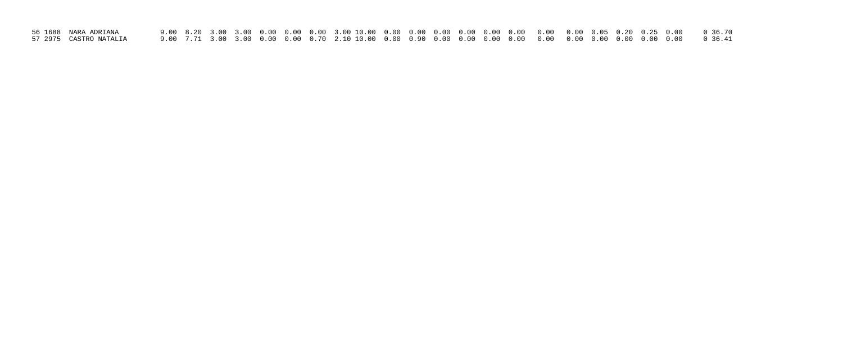| 56 1688  NARA ADRIANA   |  |  |  |  |  |  |  |  |  |  |  |
|-------------------------|--|--|--|--|--|--|--|--|--|--|--|
| 57 2975  CASTRO NATALIA |  |  |  |  |  |  |  |  |  |  |  |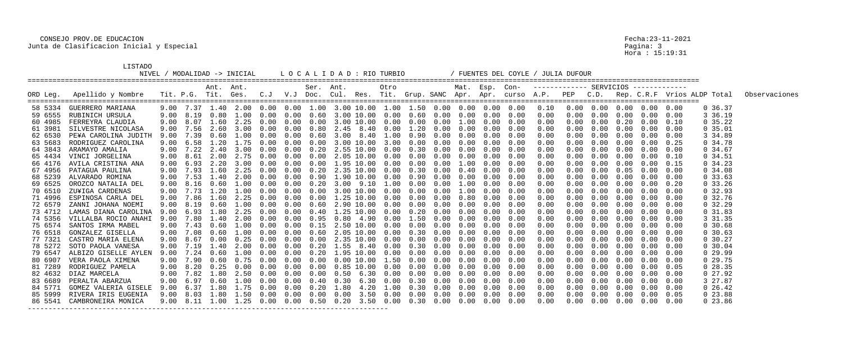# CONSEJO PROV.DE EDUCACION Fecha:23-11-2021 Junta de Clasificacion Inicial y Especial

LISTADO<br>NIVEL / MODALIDAD -> INICIAL

|          |                              |      |               | Ant. Ant.              |                                                                                         |            |            | Ser. Ant. |                              | Otro |            |                              |      | Mat. Esp. Con-                         |                   |            |      |                                        |                   |                                |      |                                                                                                  |               |
|----------|------------------------------|------|---------------|------------------------|-----------------------------------------------------------------------------------------|------------|------------|-----------|------------------------------|------|------------|------------------------------|------|----------------------------------------|-------------------|------------|------|----------------------------------------|-------------------|--------------------------------|------|--------------------------------------------------------------------------------------------------|---------------|
| ORD Leg. | Apellido y Nombre            |      |               | Tit. P.G. Tit. Ges.    |                                                                                         |            |            |           |                              |      |            |                              |      |                                        |                   |            |      |                                        |                   |                                |      | C.J V.J Doc. Cul. Res. Tit. Grup. SANC Apr. Apr. curso A.P. PEP C.D. Rep. C.R.F Vrios ALDP Total | Observaciones |
| 58 5334  | GUERRERO MARIANA             |      | $9.00$ $7.37$ |                        | $1.40$ 2.00 0.00 0.00 1.00 3.00 10.00 1.00 1.50 0.00 0.00 0.00 0.00                     |            |            |           |                              |      |            |                              |      |                                        |                   | 0.10       | 0.00 |                                        | $0.00 \quad 0.00$ | $0.00\quad 0.00$               |      | 0, 36.37                                                                                         |               |
| 59 6555  | RUBINICH URSULA              | 9.00 | 8.19          | 0.80                   | 1.00                                                                                    | 0.00       | 0.00       | 0.60      | 3.00 10.00 0.00              |      |            | $0.60\quad 0.00$             | 0.00 |                                        | $0.00\quad 0.00$  | 0.00       | 0.00 | 0.00                                   | 0.00              | 0.00                           | 0.00 | 3 36.19                                                                                          |               |
| 60 4985  | FERREYRA CLAUDIA             | 9.00 | 8.07          |                        | 1.60 2.25                                                                               | 0.00       | 0.00       | 0.00      | 3.00 10.00 0.00              |      |            |                              |      | $0.00 \t 0.00 \t 1.00 \t 0.00 \t 0.00$ |                   | 0.00       | 0.00 |                                        | $0.00 \quad 0.20$ | 0.00                           | 0.10 | 0, 35.22                                                                                         |               |
| 61 3981  | SILVESTRE NICOLASA           | 9.00 | 7.56          | 2.60                   | 3.00                                                                                    | 0.00       | 0.00       | 0.80      | 2.45 8.40                    | 0.00 |            | 1.20 0.00                    | 0.00 | 0.00                                   | 0.00              | 0.00       | 0.00 | 0.00                                   | 0.00              | 0.00                           | 0.00 | 0, 35.01                                                                                         |               |
| 62 6530  | PE¥A CAROLINA JUDITH         | 9.00 | 7.39          | 0.60                   | 1.00                                                                                    | 0.00       | 0.00       | 0.60      | 3.00 8.40                    | 1.00 | 0.90       | 0.00                         | 0.00 | 0.00                                   | 0.00              | 0.00       | 0.00 | 0.00                                   | 0.00              | 0.00                           | 0.00 | 3 34.89                                                                                          |               |
| 63 5683  | RODRIGUEZ CAROLINA           | 9.00 | 6.58          | 1.20                   | 1.75                                                                                    | 0.00       | 0.00       | 0.00      | 3.00 10.00 3.00              |      | 0.00       | $0\,.\,00$                   | 0.00 | 0.00                                   | 0.00              | 0.00       |      | 0.00                                   | 0.00              | 0.00                           | 0.25 | 0.34.78                                                                                          |               |
| 64 3843  | ARAMAYO AMALIA               | 9.00 | 7.22          | 2.40                   | 3.00                                                                                    | (0.00)     | 0.00       | 0.20      | 2.55 10.00                   | 0.00 | 0.30       | 0.00                         | 0.00 | 0.00                                   | 0.00              | 0.00       | 0.00 | 0.00                                   | 0.00              | 0.00                           | 0.00 | 0.34.67                                                                                          |               |
| 65 4434  | VINCI JORGELINA              | 9.00 | 8.61          | 2.00                   | 2.75                                                                                    | 0.00       | 0.00       | 0.00      | 2.05 10.00                   | 0.00 | 0.00       | 0.00                         | 0.00 | 0.00                                   | 0.00              | 0.00       |      | 0.00                                   | 0.00              | 0.00                           | 0.10 | 0, 34.51                                                                                         |               |
| 66 4176  | AVILA CRISTINA ANA           |      |               | $9.00 \t 6.93 \t 2.20$ | 3.00                                                                                    | 0.00       | 0.00       | 0.00      | 1.95 10.00 0.00              |      |            | $0.00 \quad 0.00$            | 1.00 | 0.00                                   | 0.00              | 0.00       |      | 0.00                                   | 0.00              | 0.00                           | 0.15 | 0.34.23                                                                                          |               |
| 67 4956  | PATAGUA PAULINA              | 9.00 | 7.93          | .60                    | 2.25                                                                                    |            | (0.00)     | 0.20      | 2.35 10.00                   | 0.00 | 0.30       | 0.00                         | 0.40 | 0.00                                   | 0.00              | 0.00       | 0.00 | 0.00                                   | (1.05)            | 0.00                           | 0.00 | 0.34.08                                                                                          |               |
| 68 5239  | ALVARADO ROMINA              | 9.00 | 7.53          | 1.40                   | 2.00                                                                                    | 0.00       | 0.00       | 0.90      | 1.90 10.00                   | 0.00 | 0.90       | 0.00                         | 0.00 | 0.00                                   | 0.00              | 0.00       |      | 0.00                                   | 0.00              | 0.00                           | 0.00 | 0, 33.63                                                                                         |               |
| 69 6525  | OROZCO NATALIA DEL           |      |               | 9.00 8.16 0.60         | 1.00                                                                                    | 0.00       | 0.00       | 0.20      | 3.00 9.10 1.00               |      |            | $0.00 \quad 0.00$            | 1.00 | 0.00                                   | 0.00              | 0.00       |      | 0.00                                   | 0.00              | 0.00                           | 0.20 | $0\,33.26$                                                                                       |               |
| 70 6510  | ZU¥IGA CARDENAS              | 9.00 |               | . . 20                 | $\Box$ $\Box$ $\Box$ $\Box$                                                             | 0.00       | $(1 \t11)$ | (1.00)    | 3.00 10.00                   | 0.00 | 0.00       | 0.00                         | 1.00 | 0.00                                   | 0.00              | 0.00       |      | n nn                                   | $(1 \cdot 0)$     | 0.00                           | 0.00 | 0, 32.93                                                                                         |               |
| 71 4996  | ESPINOSA CARLA DEL           | 9.00 | 7.86          | 1.60                   | 2.25                                                                                    |            | 0.00       |           | 1.25 10.00                   | 0.00 | 0.00       | 0.00                         | 0.80 | 0.00                                   | 0.00              | 0.00       |      | 0.00                                   | 0.00              | 0.00                           | 0.00 | 0.32.76                                                                                          |               |
| 72 6579  | ZANNI JOHANA NOEMI           | 9.00 | 8.19          | 0.60                   |                                                                                         | 0.00       | 0.00       | 0.60      | 2.90 10.00 0.00              |      | 0.00       | $0\,.\,00$                   | 0.00 | 0.00                                   | 0.00              | 0.00       |      | 0.00                                   | 0.00              | 0.00                           | 0.00 | 0, 32.29                                                                                         |               |
| 73 4712  | LAMAS DIANA CAROLINA         | 9.00 | 6.93          | .80                    | 2.25                                                                                    | (1.00)     | 0.00       | 0.40      | 1.25 10.00                   | 0.00 | 0.20       | 0.00                         | 0.00 | 0.00                                   | 0.00              | 0.00       | 0.00 | 0.00                                   | (0.00)            | 0.00                           | 0.00 | $0\,31.83$                                                                                       |               |
| 74 5356  | VILLALBA ROCIO ANAHI         | 9.00 |               | 7.80 1.40              | 2.00                                                                                    | 0.00       | 0.00       | 0.95      | $0.80 \quad 4.90$            | 0.00 | 1.50       | 0.00                         | 0.00 | 0.00                                   | 0.00              | 0.00       |      | 0.00                                   | 0.00              | 0.00                           | 0.00 | 3 31.35                                                                                          |               |
| 75 6574  | SANTOS IRMA MABEL            | 9.00 |               | 0.60                   | 1.00                                                                                    |            | 0.00       | 0.15      | 2.50 10.00                   | 0.00 | 0.00       | 0.00                         | 0.00 | 0.00                                   | 0.00              | 0.00       |      |                                        | 0.00              | 0.00                           | 0.00 | 0, 30.68                                                                                         |               |
| 76 6518  | GONZALEZ GISELLA             | 9.00 | 7.08          | 0.60                   | 1.00                                                                                    | (0.00)     | 0.00       | 0.60      | 2.05 10.00                   | 0.00 | 0.30       | 0.00                         | 0.00 | 0.00                                   | 0.00              | 0.00       | 0.00 | 0.00                                   | 0.00              | 0.00                           | 0.00 | 0, 30.63                                                                                         |               |
| 77 7321  | CASTRO MARIA ELENA           | 9.00 | 8.67          | 0.00                   | 0.25                                                                                    | 0.00       | 0.00       | 0.00      | 2.35 10.00                   | 0.00 | 0.00       | 0.00                         | 0.00 | 0.00                                   | 0.00              | 0.00       |      | 0.00                                   | 0.00              | 0.00                           | 0.00 | 0.30.27                                                                                          |               |
| 78 5272  | SOTO PAOLA VANESA            | 9.00 | 7.19          | 1.40                   |                                                                                         |            | 0.00       | 0.20      | 1.55 8.40                    | 0.00 | 0.30       | 0.00                         | 0.00 | 0.00                                   | 0.00              | 0.00       |      | 0.00                                   | 0.00              | 0.00                           | 0.00 | 0.30.04                                                                                          |               |
| 79 6547  | ALBIZO GISELLE AYLEN         | 9.00 | 7.24          | 0.60                   | 1.00                                                                                    |            | (0.00)     | 0.20      | 1.95 10.00                   | 0.00 | 0.00       | 0.00                         | 0.00 | 0.00                                   | 0.00              | 0.00       | 0.00 | 0.00                                   | (0.00)            | 0.00                           | 0.00 | 0, 29.99                                                                                         |               |
| 80 6907  | VERA PAOLA XIMENA            | 9.00 |               | 7.90 0.60              | 0.75                                                                                    | 0.00       | 0.00       | 0.00      | $0.00$ $10.00$               | 1.50 | $0\,.\,00$ | $0\,.\,00$                   | 0.00 | 0.00                                   | 0.00              | 0.00       | 0.00 | 0.00                                   | 0.00              | 0.00                           | 0.00 | $0\,29.75$                                                                                       |               |
| 81 7289  | RODRIGUEZ PAMELA             |      |               |                        | $9.00 \quad 8.20 \quad 0.25 \quad 0.00$                                                 | $0\,.\,00$ | 0.00       |           | $0.00$ $0.85$ $10.00$ $0.00$ |      |            | $0.00 \quad 0.00 \quad 0.00$ |      |                                        | $0.00 \quad 0.00$ | 0.00       | 0.00 |                                        | $0.00 \quad 0.00$ | $0.00 \quad 0.05$              |      | 028.35                                                                                           |               |
|          | 82 4632 DIAZ MARCELA         |      |               |                        | 9.00 7.82 1.80 2.50 0.00 0.00 0.00 0.50 6.30 0.00 0.00 0.00 0.00 0.00 0.00              |            |            |           |                              |      |            |                              |      |                                        |                   |            |      |                                        |                   |                                |      |                                                                                                  |               |
| 83 6689  | PERALTA ABARZUA              |      |               |                        | 9.00 6.97  0.60  1.00  0.00  0.00  0.40  0.30  6.30  0.00  0.30  0.00  0.00  0.00  0.00 |            |            |           |                              |      |            |                              |      |                                        |                   | 0.00       | 0.00 |                                        |                   | $0.00 \t 0.00 \t 0.00 \t 0.00$ |      | 3 27.87                                                                                          |               |
|          | 84 5771 GOMEZ VALERIA GISELE |      |               |                        | 9.00 6.37 1.80 1.75 0.00 0.00 0.20 1.80 4.20 1.00 0.30 0.00 0.00 0.00 0.00              |            |            |           |                              |      |            |                              |      |                                        |                   | 0.00       |      | $0.00$ $0.00$ $0.00$ $0.00$ $0.00$     |                   |                                |      | $0\,26.42$                                                                                       |               |
|          | 85 5999 RIVERA IRIS EUGENIA  |      |               |                        |                                                                                         |            |            |           |                              |      |            |                              |      |                                        |                   | 0.00       |      | $0.00$ $0.00$ $0.00$ $0.00$ $0.05$     |                   |                                |      | 023.88                                                                                           |               |
|          | 86 5541 CAMBRONEIRA MONICA   |      |               |                        | 9.00 8.11 1.00 1.25 0.00 0.00 0.50 0.20 3.50 0.00 0.30 0.00 0.00 0.00 0.00              |            |            |           |                              |      |            |                              |      |                                        |                   | $0\,.\,00$ |      | $0.00 \t 0.00 \t 0.00 \t 0.00 \t 0.00$ |                   |                                |      | $0\,23.86$                                                                                       |               |
|          |                              |      |               |                        |                                                                                         |            |            |           |                              |      |            |                              |      |                                        |                   |            |      |                                        |                   |                                |      |                                                                                                  |               |

Pagina: 3<br>Hora : 15:19:31

L O C A L I D A D : RIO TURBIO / FUENTES DEL COYLE / JULIA DUFOUR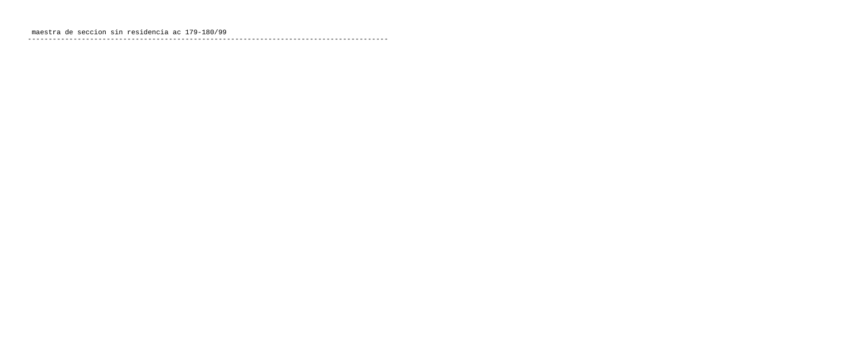---------------------------------------------------------------------------------------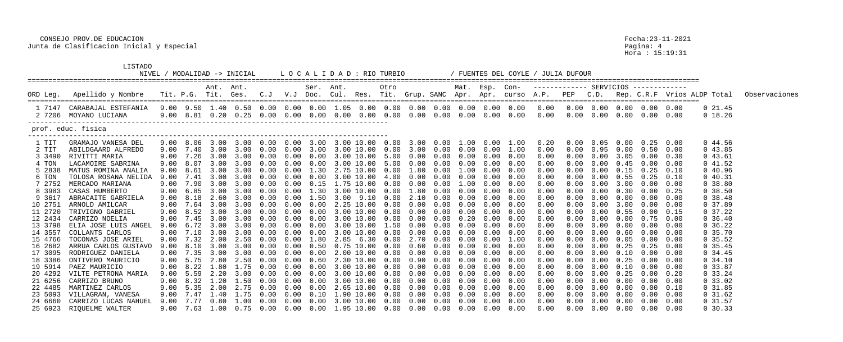### CONSEJO PROV.DE EDUCACION Fecha:23-11-2021 Junta de Clasificacion Inicial y Especial Pagina: 4

### LISTADO

|         |                                                                                                                                                                                                                                |      |           |                | NIVEL / MODALIDAD -> INICIAL  |                  |            |           | L O C A L I D A D : RIO TURBIO                                                                            |      |            |                   |      |            |                                           | / FUENTES DEL COYLE / JULIA DUFOUR |            |      |                   |                                        |      |                                                                                                                           |               |
|---------|--------------------------------------------------------------------------------------------------------------------------------------------------------------------------------------------------------------------------------|------|-----------|----------------|-------------------------------|------------------|------------|-----------|-----------------------------------------------------------------------------------------------------------|------|------------|-------------------|------|------------|-------------------------------------------|------------------------------------|------------|------|-------------------|----------------------------------------|------|---------------------------------------------------------------------------------------------------------------------------|---------------|
|         |                                                                                                                                                                                                                                |      |           | Ant. Ant.      |                               |                  |            | Ser. Ant. |                                                                                                           | Otro |            |                   |      |            |                                           |                                    |            |      |                   |                                        |      |                                                                                                                           |               |
|         | ORD Leg. Apellido y Nombre                                                                                                                                                                                                     |      |           |                |                               |                  |            |           |                                                                                                           |      |            |                   |      |            |                                           |                                    |            |      |                   |                                        |      | Tit. P.G. Tit. Ges.  C.J  V.J Doc. Cul. Res. Tit. Grup. SANC Apr. Apr. curso A.P.  PEP  C.D.  Rep. C.R.F Vrios ALDP Total | Observaciones |
|         | 1 7147 CARABAJAL ESTEFANIA  9.00  9.50  1.40  0.50  0.00  0.00  0.00  0.00  0.00  0.00  0.00  0.00  0.00  0.00  0.00  0.00  0.00  0.00  0.00  0.00  0.00  0.00  0.00  0.00  0.00  0.00  0.00  0.00  0.00  0.00  0.00  0.00  0. |      |           |                |                               |                  |            |           |                                                                                                           |      |            |                   |      |            |                                           |                                    |            |      |                   |                                        |      | $0\,21.45$                                                                                                                |               |
|         | 2 7206 MOYANO LUCIANA                                                                                                                                                                                                          |      |           |                | 9.00 8.81 0.20 0.25 0.00 0.00 |                  |            |           | $0.00$ $0.00$ $0.00$ $0.00$                                                                               |      |            |                   |      |            | $0.00$ $0.00$ $0.00$ $0.00$ $0.00$ $0.00$ | $0\,.\,00$                         |            |      |                   | $0.00 \t 0.00 \t 0.00 \t 0.00 \t 0.00$ |      | 0 18.26                                                                                                                   |               |
|         | prof. educ. fisica                                                                                                                                                                                                             |      |           |                |                               |                  |            |           |                                                                                                           |      |            |                   |      |            |                                           |                                    |            |      |                   |                                        |      |                                                                                                                           |               |
| 1 TIT   | GRAMAJO VANESA DEL                                                                                                                                                                                                             |      |           |                |                               |                  |            |           |                                                                                                           |      |            |                   |      |            |                                           |                                    |            |      |                   |                                        |      | 0.44.56                                                                                                                   |               |
| 2 TIT   | ABILDGAARD ALFREDO                                                                                                                                                                                                             |      |           |                |                               |                  |            |           | 9.00 7.40 3.00 3.00 0.00 0.00 3.00 3.00 10.00 0.00                                                        |      |            |                   |      |            | 3.00  0.00  0.00  0.00  1.00              | 0.00                               | 0.00       |      |                   | $0.95$ 0.00 0.50 0.00                  |      | 043.85                                                                                                                    |               |
| 3 3490  | RIVITTI MARIA                                                                                                                                                                                                                  | 9.00 |           | 7.26 3.00      | 3.00                          | 0.00             | 0.00       | 0.00      | 3.00 10.00 5.00                                                                                           |      |            | $0.00 \quad 0.00$ | 0.00 | 0.00       | 0.00                                      | 0.00                               | 0.00       | 0.00 | 3.05              | 0.00                                   | 0.30 | 043.61                                                                                                                    |               |
| 4 TON   | LACAMOIRE SABRINA                                                                                                                                                                                                              | 9.00 | 8.07      | 3.00           | 3.00                          | 0.00             | 0.00       | 0.00      | 3.00 10.00 5.00                                                                                           |      |            | $0.00 \quad 0.00$ | 0.00 | 0.00       | 0.00                                      | 0.00                               | 0.00       | 0.00 | 0.45              | 0.00                                   | 0.00 | 041.52                                                                                                                    |               |
| 5 2838  | MATUS ROMINA ANALIA                                                                                                                                                                                                            | 9.00 | 8.61      | 3.00           | 3.00                          | 0.00             | 0.00       |           |                                                                                                           |      |            |                   | 1.00 |            | $0.00 \quad 0.00$                         | 0.00                               | 0.00       |      |                   | $0.00 \t 0.15 \t 0.25 \t 0.10$         |      | 040.96                                                                                                                    |               |
| 6 TON   | TOLOSA ROSANA NELIDA                                                                                                                                                                                                           | 9.00 | 7.41      | 3.00           | 3.00                          | 0.00             | 0.00       | 0.00      | 3.00 10.00                                                                                                | 4.00 | 0.00       | 0.00              | 0.00 | 0.00       | 0.00                                      | 0.00                               |            | 0.00 | 0.55              | 0.25                                   | 0.10 | 040.31                                                                                                                    |               |
| 7 2752  | MERCADO MARIANA                                                                                                                                                                                                                |      |           | 9.00 7.90 3.00 | 3.00                          | 0.00             | 0.00       | 0.15      | 1.75 10.00                                                                                                | 0.00 | $0\,.\,00$ | $0\,.\,00$        | 1.00 | 0.00       | 0.00                                      | 0.00                               |            | 0.00 | 3.00              | 0.00                                   | 0.00 | 0.38.80                                                                                                                   |               |
| 8 3983  | CASAS HUMBERTO                                                                                                                                                                                                                 |      |           |                | 9.00 6.85 3.00 3.00           | 0.00             | 0.00       |           | $1.30$ $3.00$ $10.00$ $0.00$                                                                              |      |            | $1.80$ $0.00$     | 0.00 |            | $0.00$ $0.00$                             | 0.00                               |            |      | $0.00 \quad 0.30$ | $0.00 \quad 0.25$                      |      | 0.38.50                                                                                                                   |               |
| 9 361'  | ABRACAITE GABRIELA                                                                                                                                                                                                             | 9.00 | 8.18      | 2.60           | 3.00                          | 0.00             | 0.00       | 1.50      | 3.00 9.10                                                                                                 | 0.00 | 2.10       | 0.00              | 0.00 | 0.00       | 0.00                                      | 0.00                               |            | 0.00 | 0.00              | $0.00 \quad 0.00$                      |      | $0\,38.48$                                                                                                                |               |
| 10 2751 | ARNOLD AMILCAR                                                                                                                                                                                                                 | 9.00 | 7.64      | 3.00           | 3.00                          | 0.00             | 0.00       | 0.00      | 2.25 10.00 0.00                                                                                           |      | $0\,.\,00$ | 0.00              | 0.00 | 0.00       | 0.00                                      | 0.00                               | 0.00       | 0.00 | 3.00              | 0.00                                   | 0.00 | 0 37.89                                                                                                                   |               |
| 11 2720 | TRIVIGNO GABRIEL                                                                                                                                                                                                               |      |           |                | 9.00 8.52 3.00 3.00 0.00      |                  | $0\,.\,00$ |           | $0.00$ 3.00 10.00 0.00                                                                                    |      |            | $0.00 \quad 0.00$ | 0.00 |            | $0.00$ $0.00$                             | 0.00                               | 0.00       |      |                   | $0.00 \t 0.55 \t 0.00 \t 0.15$         |      | $0\,37.22$                                                                                                                |               |
| 12 2434 | CARRIZO NOELIA                                                                                                                                                                                                                 | 9.00 | 7.45      | 3.00           | 3.00                          | 0.00             | 0.00       | 0.00      | 3.00 10.00                                                                                                | 0.00 | 0.00       | 0.00              | 0.20 | 0.00       | 0.00                                      | 0.00                               |            | 0.00 | 0.00              | $0.75$ 0.00                            |      | $0\,36.40$                                                                                                                |               |
| 13 3798 | ELIA JOSE LUIS ANGEL                                                                                                                                                                                                           |      |           | 9.00 6.72 3.00 | 3.00                          | 0.00             | 0.00       | 0.00      | 3.00 10.00 1.50                                                                                           |      | $0\,.\,00$ | 0.00              | 0.00 | 0.00       | 0.00                                      | 0.00                               |            | 0.00 | 0.00              | 0.00                                   | 0.00 | $0\,36.22$                                                                                                                |               |
| 14 3557 | COLLANTS CARLOS                                                                                                                                                                                                                |      |           |                | $9.00$ $7.10$ $3.00$ $3.00$   | 0.00             | 0.00       |           | 0.00 3.00 10.00 0.00                                                                                      |      |            | $0.00 \quad 0.00$ | 0.00 |            | $0.00 \quad 0.00$                         | 0.00                               |            |      | $0.00 \quad 0.60$ | $0.00\quad 0.00$                       |      | 0, 35.70                                                                                                                  |               |
| 15 4766 | TOCONAS JOSE ARIEL                                                                                                                                                                                                             | 9.00 | 7.32      | 2.00           | 2.50                          | 0.00             | 0.00       | 1.80      | 2.85 6.30                                                                                                 | 0.00 | 2.70       | 0.00              | 0.00 | 0.00       | 1.00                                      | 0.00                               |            | 0.00 | 0.05              | 0.00                                   | 0.00 | $0\,35.52$                                                                                                                |               |
| 16 2682 | ARRUA CARLOS GUSTAVO                                                                                                                                                                                                           |      | 9.00 8.10 | 3.00           | 3.00                          | 0.00             | 0.00       | 0.50      | 0.75 10.00                                                                                                | 0.00 | 0.60       | $0\,.\,00$        | 0.00 | $0\,.\,00$ | 0.00                                      | 0.00                               | 0.00       | 0.00 | 0.25              | 0.25                                   | 0.00 | $0\,35.45$                                                                                                                |               |
| 17 3095 | RODRIGUEZ DANIELA                                                                                                                                                                                                              |      |           |                | 9.00 7.35 3.00 3.00 0.00      |                  |            |           | $0.00$ $0.00$ $2.00$ $10.00$ $0.00$ $0.00$ $0.00$ $0.00$ $0.00$ $0.00$                                    |      |            |                   |      |            |                                           | 0.00                               | $0\,.\,00$ |      |                   | $0.00 \t 0.10 \t 0.00 \t 0.00$         |      | $0\,34.45$                                                                                                                |               |
| 18 3386 | ONTIVERO MAURICIO                                                                                                                                                                                                              |      |           |                | $9.00$ 5.75 2.80 2.50         | $0.00\quad 0.00$ |            | 0.60      | 2.30 10.00  0.00  0.90  0.00  0.00                                                                        |      |            |                   |      |            | $0.00 \quad 0.00$                         | 0.00                               | 0.00       |      | $0.00 \quad 0.25$ | $0.00 \quad 0.00$                      |      | 0, 34.10                                                                                                                  |               |
|         | 19 5914 PAEZ MAURICIO                                                                                                                                                                                                          |      |           |                |                               |                  |            |           |                                                                                                           |      |            |                   |      |            |                                           | 0.00                               | 0.00       |      |                   | $0.00 \t 0.10 \t 0.00 \t 0.00$         |      | 0 33.87                                                                                                                   |               |
| 20 4292 | VILTE PETRONA MARIA                                                                                                                                                                                                            |      |           |                |                               |                  |            |           |                                                                                                           |      |            |                   |      |            |                                           | 0.00                               | 0.00       |      | $0.00 \quad 0.25$ | 0.00                                   | 0.20 | $0\,33.24$                                                                                                                |               |
| 21 6256 | CARRIZO BRUNO                                                                                                                                                                                                                  |      |           |                |                               |                  |            |           |                                                                                                           |      |            |                   |      |            |                                           | 0.00                               | 0.00       |      |                   | $0.00 \quad 0.00 \quad 0.00$           | 0.00 | $0\,33.02$                                                                                                                |               |
| 22 4485 | MARTINEZ CARLOS                                                                                                                                                                                                                |      |           |                |                               |                  |            |           | $9.00$ 5.35 2.00 2.75 0.00 0.00 0.00 2.65 10.00 0.00 0.00 0.00 0.00 0.00 0.00                             |      |            |                   |      |            |                                           | 0.00                               | $0\,.\,00$ |      | $0.00 \quad 0.00$ | 0.00                                   | 0.10 | $0\,31.85$                                                                                                                |               |
| 23 5093 | VILLAGRAN, VANESA                                                                                                                                                                                                              |      |           |                |                               |                  |            |           | $9.00$ $7.47$ $1.40$ $1.75$ $0.00$ $0.00$ $0.10$ $1.90$ $10.00$ $0.00$ $0.00$ $0.00$ $0.00$ $0.00$ $0.00$ |      |            |                   |      |            |                                           | 0.00                               | 0.00       |      |                   | $0.00 \t 0.00 \t 0.00 \t 0.00$         |      | $0\quad 31.62$                                                                                                            |               |
| 24 6660 | CARRIZO LUCAS NAHUEL                                                                                                                                                                                                           |      |           |                |                               |                  |            |           | $9.00$ $7.77$ $0.80$ $1.00$ $0.00$ $0.00$ $0.00$ $3.00$ $10.00$ $0.00$ $0.00$ $0.00$ $0.00$ $0.00$ $0.00$ |      |            |                   |      |            |                                           | 0.00                               | 0.00       |      |                   | $0.00 \t 0.00 \t 0.00 \t 0.00$         |      | $0\,31.57$                                                                                                                |               |
| 25 6923 | RIQUELME WALTER                                                                                                                                                                                                                |      |           |                |                               |                  |            |           | $9.00$ 7.63 $1.00$ 0.75 0.00 0.00 0.00 1.95 10.00 0.00 0.00 0.00 0.00 0.00 0.00                           |      |            |                   |      |            |                                           | 0.00                               | $0\,.\,00$ |      |                   | $0.00 \t 0.00 \t 0.00 \t 0.00$         |      | $0\,30.33$                                                                                                                |               |

Pagina: 4<br>Hora : 15:19:31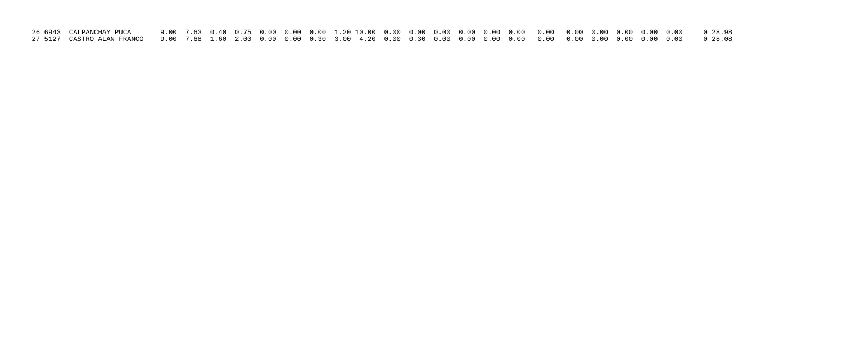| 26 6943 CALPANCHAY PUCA |  |  |  |  |  |  |  |  |  |  |  |  |
|-------------------------|--|--|--|--|--|--|--|--|--|--|--|--|
|                         |  |  |  |  |  |  |  |  |  |  |  |  |